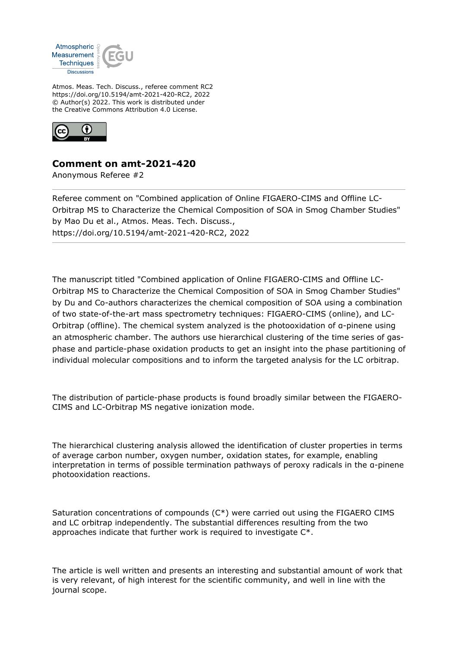

Atmos. Meas. Tech. Discuss., referee comment RC2 https://doi.org/10.5194/amt-2021-420-RC2, 2022 © Author(s) 2022. This work is distributed under the Creative Commons Attribution 4.0 License.



## **Comment on amt-2021-420**

Anonymous Referee #2

Referee comment on "Combined application of Online FIGAERO-CIMS and Offline LC-Orbitrap MS to Characterize the Chemical Composition of SOA in Smog Chamber Studies" by Mao Du et al., Atmos. Meas. Tech. Discuss., https://doi.org/10.5194/amt-2021-420-RC2, 2022

The manuscript titled "Combined application of Online FIGAERO-CIMS and Offline LC-Orbitrap MS to Characterize the Chemical Composition of SOA in Smog Chamber Studies" by Du and Co-authors characterizes the chemical composition of SOA using a combination of two state-of-the-art mass spectrometry techniques: FIGAERO-CIMS (online), and LC-Orbitrap (offline). The chemical system analyzed is the photooxidation of α-pinene using an atmospheric chamber. The authors use hierarchical clustering of the time series of gasphase and particle-phase oxidation products to get an insight into the phase partitioning of individual molecular compositions and to inform the targeted analysis for the LC orbitrap.

The distribution of particle-phase products is found broadly similar between the FIGAERO-CIMS and LC-Orbitrap MS negative ionization mode.

The hierarchical clustering analysis allowed the identification of cluster properties in terms of average carbon number, oxygen number, oxidation states, for example, enabling interpretation in terms of possible termination pathways of peroxy radicals in the α-pinene photooxidation reactions.

Saturation concentrations of compounds (C\*) were carried out using the FIGAERO CIMS and LC orbitrap independently. The substantial differences resulting from the two approaches indicate that further work is required to investigate C\*.

The article is well written and presents an interesting and substantial amount of work that is very relevant, of high interest for the scientific community, and well in line with the journal scope.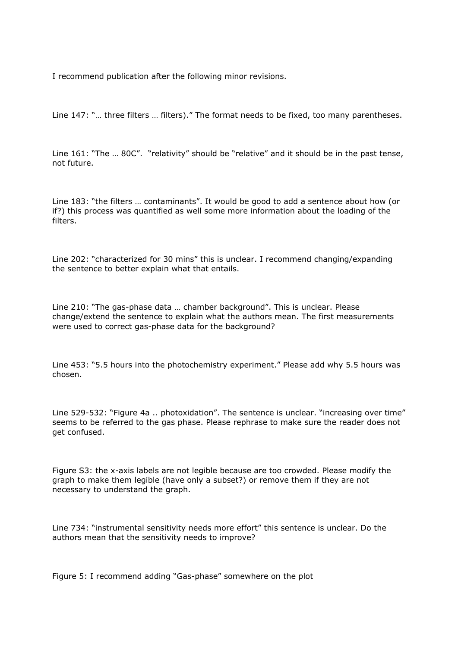I recommend publication after the following minor revisions.

Line 147: "… three filters … filters)." The format needs to be fixed, too many parentheses.

Line 161: "The … 80C". "relativity" should be "relative" and it should be in the past tense, not future.

Line 183: "the filters … contaminants". It would be good to add a sentence about how (or if?) this process was quantified as well some more information about the loading of the filters.

Line 202: "characterized for 30 mins" this is unclear. I recommend changing/expanding the sentence to better explain what that entails.

Line 210: "The gas-phase data … chamber background". This is unclear. Please change/extend the sentence to explain what the authors mean. The first measurements were used to correct gas-phase data for the background?

Line 453: "5.5 hours into the photochemistry experiment." Please add why 5.5 hours was chosen.

Line 529-532: "Figure 4a .. photoxidation". The sentence is unclear. "increasing over time" seems to be referred to the gas phase. Please rephrase to make sure the reader does not get confused.

Figure S3: the x-axis labels are not legible because are too crowded. Please modify the graph to make them legible (have only a subset?) or remove them if they are not necessary to understand the graph.

Line 734: "instrumental sensitivity needs more effort" this sentence is unclear. Do the authors mean that the sensitivity needs to improve?

Figure 5: I recommend adding "Gas-phase" somewhere on the plot